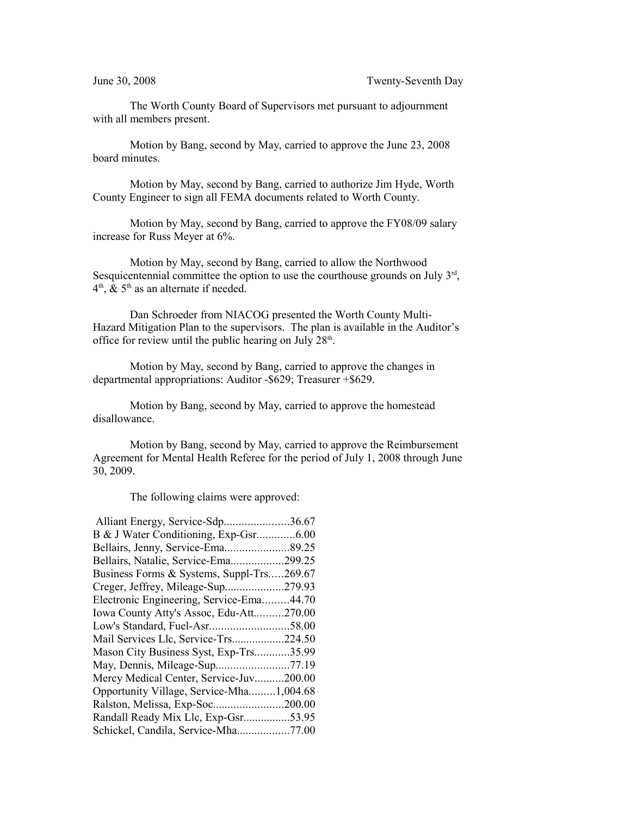The Worth County Board of Supervisors met pursuant to adjournment with all members present.

Motion by Bang, second by May, carried to approve the June 23, 2008 board minutes.

Motion by May, second by Bang, carried to authorize Jim Hyde, Worth County Engineer to sign all FEMA documents related to Worth County.

Motion by May, second by Bang, carried to approve the FY08/09 salary increase for Russ Meyer at 6%.

Motion by May, second by Bang, carried to allow the Northwood Sesquicentennial committee the option to use the courthouse grounds on July  $3<sup>rd</sup>$ ,  $4<sup>th</sup>$ , & 5<sup>th</sup> as an alternate if needed.

Dan Schroeder from NIACOG presented the Worth County Multi-Hazard Mitigation Plan to the supervisors. The plan is available in the Auditor's office for review until the public hearing on July  $28<sup>th</sup>$ .

Motion by May, second by Bang, carried to approve the changes in departmental appropriations: Auditor -\$629; Treasurer +\$629.

Motion by Bang, second by May, carried to approve the homestead disallowance.

Motion by Bang, second by May, carried to approve the Reimbursement Agreement for Mental Health Referee for the period of July 1, 2008 through June 30, 2009.

The following claims were approved:

| Alliant Energy, Service-Sdp36.67          |  |
|-------------------------------------------|--|
|                                           |  |
| Bellairs, Jenny, Service-Ema89.25         |  |
| Bellairs, Natalie, Service-Ema299.25      |  |
| Business Forms & Systems, Suppl-Trs269.67 |  |
| Creger, Jeffrey, Mileage-Sup279.93        |  |
| Electronic Engineering, Service-Ema44.70  |  |
| Iowa County Atty's Assoc, Edu-Att270.00   |  |
| Low's Standard, Fuel-Asr58.00             |  |
| Mail Services Llc, Service-Trs224.50      |  |
| Mason City Business Syst, Exp-Trs35.99    |  |
|                                           |  |
| Mercy Medical Center, Service-Juv200.00   |  |
| Opportunity Village, Service-Mha1,004.68  |  |
|                                           |  |
| Randall Ready Mix Llc, Exp-Gsr53.95       |  |
| Schickel, Candila, Service-Mha77.00       |  |